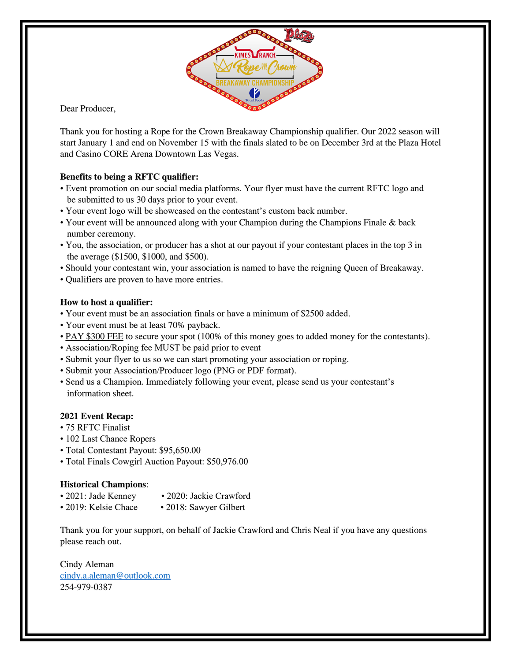

Dear Producer,

Thank you for hosting a Rope for the Crown Breakaway Championship qualifier. Our 2022 season will start January 1 and end on November 15 with the finals slated to be on December 3rd at the Plaza Hotel and Casino CORE Arena Downtown Las Vegas.

## **Benefits to being a RFTC qualifier:**

- Event promotion on our social media platforms. Your flyer must have the current RFTC logo and be submitted to us 30 days prior to your event.
- Your event logo will be showcased on the contestant's custom back number.
- Your event will be announced along with your Champion during the Champions Finale & back number ceremony.
- You, the association, or producer has a shot at our payout if your contestant places in the top 3 in the average (\$1500, \$1000, and \$500).
- Should your contestant win, your association is named to have the reigning Queen of Breakaway.
- Qualifiers are proven to have more entries.

## **How to host a qualifier:**

- Your event must be an association finals or have a minimum of \$2500 added.
- Your event must be at least 70% payback.
- PAY \$300 FEE to secure your spot (100% of this money goes to added money for the contestants).
- Association/Roping fee MUST be paid prior to event
- Submit your flyer to us so we can start promoting your association or roping.
- Submit your Association/Producer logo (PNG or PDF format).
- Send us a Champion. Immediately following your event, please send us your contestant's information sheet.

## **2021 Event Recap:**

- 75 RFTC Finalist
- 102 Last Chance Ropers
- Total Contestant Payout: \$95,650.00
- Total Finals Cowgirl Auction Payout: \$50,976.00

## **Historical Champions**:

- 2021: Jade Kenney 2020: Jackie Crawford
- 2019: Kelsie Chace 2018: Sawyer Gilbert

Thank you for your support, on behalf of Jackie Crawford and Chris Neal if you have any questions please reach out.

Cindy Aleman [cindy.a.aleman@outlook.com](mailto:cindy.a.aleman@outlook.com) 254-979-0387